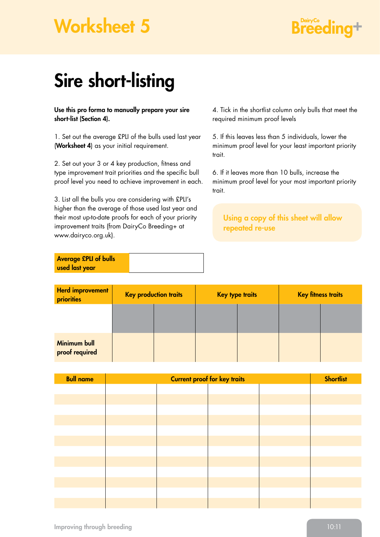## Worksheet 5

## **Breeding+**

## Sire short-listing

Use this pro forma to manually prepare your sire short-list (Section 4).

1. Set out the average £PLI of the bulls used last year (Worksheet 4) as your initial requirement.

2. Set out your 3 or 4 key production, fitness and type improvement trait priorities and the specific bull proof level you need to achieve improvement in each.

3. List all the bulls you are considering with £PLI's higher than the average of those used last year and their most up-to-date proofs for each of your priority improvement traits (from DairyCo Breeding+ at www.dairyco.org.uk).

| <b>Average £PLI of bulls</b> |  |
|------------------------------|--|
| used last year               |  |

4. Tick in the shortlist column only bulls that meet the required minimum proof levels

5. If this leaves less than 5 individuals, lower the minimum proof level for your least important priority trait.

6. If it leaves more than 10 bulls, increase the minimum proof level for your most important priority trait.

Using a copy of this sheet will allow repeated re-use

| <b>Herd improvement</b><br>priorities | <b>Key production traits</b> |  | <b>Key type traits</b> |  | <b>Key fitness traits</b> |  |
|---------------------------------------|------------------------------|--|------------------------|--|---------------------------|--|
|                                       |                              |  |                        |  |                           |  |
| <b>Minimum bull</b><br>proof required |                              |  |                        |  |                           |  |

| <b>Bull name</b> | <b>Current proof for key traits</b> |  |  |  | <b>Shortlist</b> |
|------------------|-------------------------------------|--|--|--|------------------|
|                  |                                     |  |  |  |                  |
|                  |                                     |  |  |  |                  |
|                  |                                     |  |  |  |                  |
|                  |                                     |  |  |  |                  |
|                  |                                     |  |  |  |                  |
|                  |                                     |  |  |  |                  |
|                  |                                     |  |  |  |                  |
|                  |                                     |  |  |  |                  |
|                  |                                     |  |  |  |                  |
|                  |                                     |  |  |  |                  |
|                  |                                     |  |  |  |                  |
|                  |                                     |  |  |  |                  |